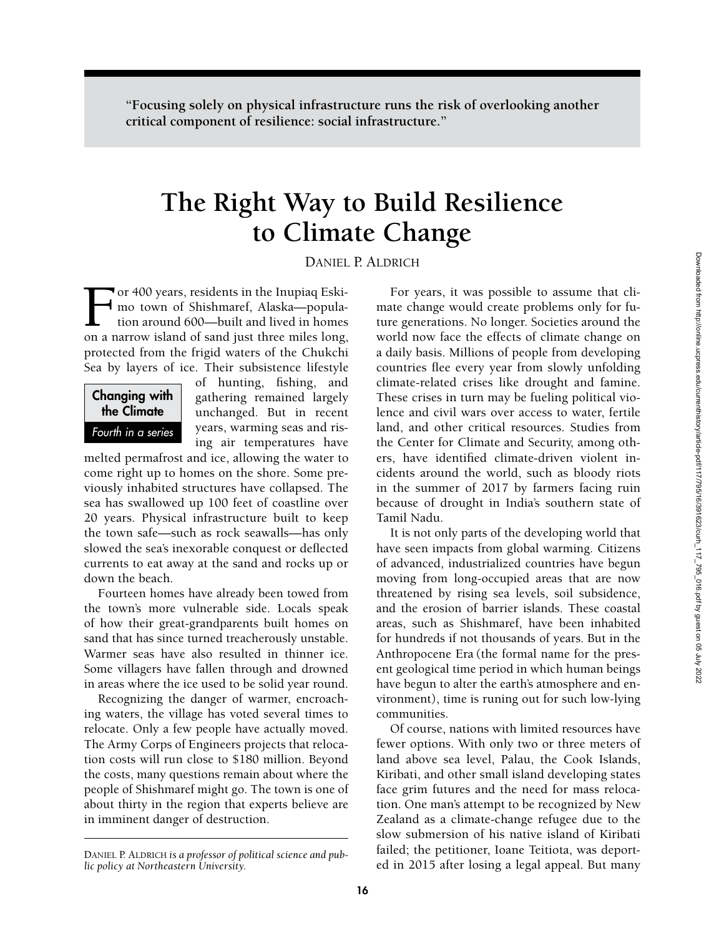**"Focusing solely on physical infrastructure runs the risk of overlooking another critical component of resilience: social infrastructure."**

# **The Right Way to Build Resilience to Climate Change**

DANIEL P. ALDRICH

For 400 years, residents in the Inupiaq Eski-<br>mo town of Shishmaref, Alaska—popula-<br>tion around 600—built and lived in homes<br>on a narrow island of sand just three miles long mo town of Shishmaref, Alaska—population around 600—built and lived in homes on a narrow island of sand just three miles long, protected from the frigid waters of the Chukchi Sea by layers of ice. Their subsistence lifestyle

# Changing with the Climate *Fourth in a series*

of hunting, fishing, and gathering remained largely unchanged. But in recent years, warming seas and rising air temperatures have

melted permafrost and ice, allowing the water to come right up to homes on the shore. Some previously inhabited structures have collapsed. The sea has swallowed up 100 feet of coastline over 20 years. Physical infrastructure built to keep the town safe—such as rock seawalls—has only slowed the sea's inexorable conquest or deflected currents to eat away at the sand and rocks up or down the beach.

Fourteen homes have already been towed from the town's more vulnerable side. Locals speak of how their great-grandparents built homes on sand that has since turned treacherously unstable. Warmer seas have also resulted in thinner ice. Some villagers have fallen through and drowned in areas where the ice used to be solid year round.

Recognizing the danger of warmer, encroaching waters, the village has voted several times to relocate. Only a few people have actually moved. The Army Corps of Engineers projects that relocation costs will run close to \$180 million. Beyond the costs, many questions remain about where the people of Shishmaref might go. The town is one of about thirty in the region that experts believe are in imminent danger of destruction.

For years, it was possible to assume that climate change would create problems only for future generations. No longer. Societies around the world now face the effects of climate change on a daily basis. Millions of people from developing countries flee every year from slowly unfolding climate-related crises like drought and famine. These crises in turn may be fueling political violence and civil wars over access to water, fertile land, and other critical resources. Studies from the Center for Climate and Security, among others, have identified climate-driven violent incidents around the world, such as bloody riots in the summer of 2017 by farmers facing ruin because of drought in India's southern state of Tamil Nadu.

It is not only parts of the developing world that have seen impacts from global warming. Citizens of advanced, industrialized countries have begun moving from long-occupied areas that are now threatened by rising sea levels, soil subsidence, and the erosion of barrier islands. These coastal areas, such as Shishmaref, have been inhabited for hundreds if not thousands of years. But in the Anthropocene Era (the formal name for the present geological time period in which human beings have begun to alter the earth's atmosphere and environment), time is runing out for such low-lying communities.

Of course, nations with limited resources have fewer options. With only two or three meters of land above sea level, Palau, the Cook Islands, Kiribati, and other small island developing states face grim futures and the need for mass relocation. One man's attempt to be recognized by New Zealand as a climate-change refugee due to the slow submersion of his native island of Kiribati failed; the petitioner, Ioane Teitiota, was deported in 2015 after losing a legal appeal. But many

DANIEL P. ALDRICH *is a professor of political science and public policy at Northeastern University.*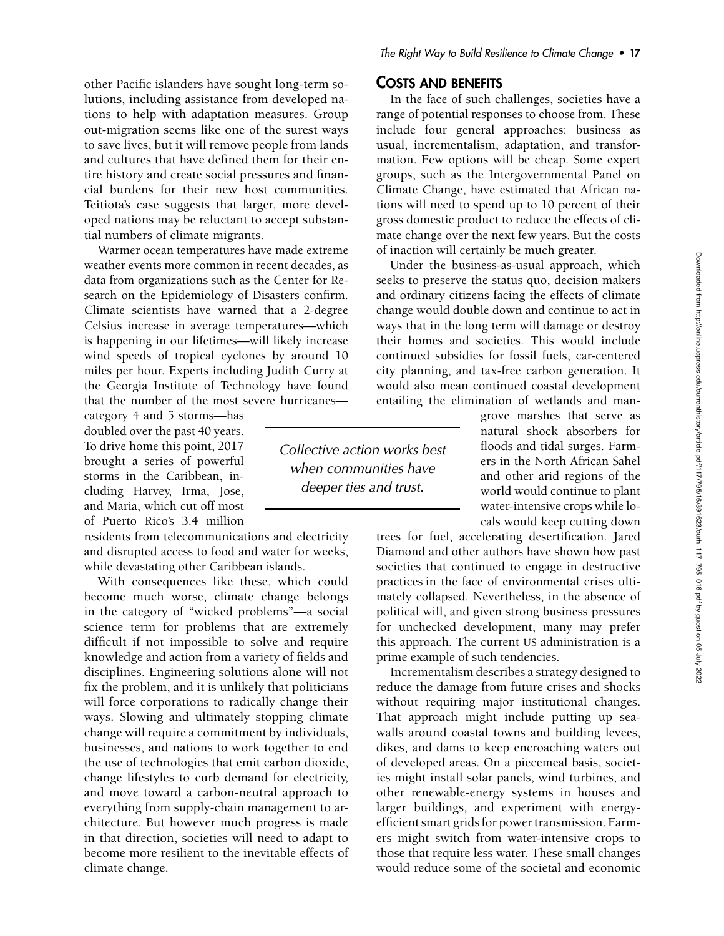other Pacific islanders have sought long-term solutions, including assistance from developed nations to help with adaptation measures. Group out-migration seems like one of the surest ways to save lives, but it will remove people from lands and cultures that have defined them for their entire history and create social pressures and financial burdens for their new host communities. Teitiota's case suggests that larger, more developed nations may be reluctant to accept substantial numbers of climate migrants.

Warmer ocean temperatures have made extreme weather events more common in recent decades, as data from organizations such as the Center for Research on the Epidemiology of Disasters confirm. Climate scientists have warned that a 2-degree Celsius increase in average temperatures—which is happening in our lifetimes—will likely increase wind speeds of tropical cyclones by around 10 miles per hour. Experts including Judith Curry at the Georgia Institute of Technology have found that the number of the most severe hurricanes—

category 4 and 5 storms—has doubled over the past 40 years. To drive home this point, 2017 brought a series of powerful storms in the Caribbean, including Harvey, Irma, Jose, and Maria, which cut off most of Puerto Rico's 3.4 million

residents from telecommunications and electricity and disrupted access to food and water for weeks, while devastating other Caribbean islands.

With consequences like these, which could become much worse, climate change belongs in the category of "wicked problems"—a social science term for problems that are extremely difficult if not impossible to solve and require knowledge and action from a variety of fields and disciplines. Engineering solutions alone will not fix the problem, and it is unlikely that politicians will force corporations to radically change their ways. Slowing and ultimately stopping climate change will require a commitment by individuals, businesses, and nations to work together to end the use of technologies that emit carbon dioxide, change lifestyles to curb demand for electricity, and move toward a carbon-neutral approach to everything from supply-chain management to architecture. But however much progress is made in that direction, societies will need to adapt to become more resilient to the inevitable effects of climate change.

COSTS AND BENEFITS

In the face of such challenges, societies have a range of potential responses to choose from. These include four general approaches: business as usual, incrementalism, adaptation, and transformation. Few options will be cheap. Some expert groups, such as the Intergovernmental Panel on Climate Change, have estimated that African nations will need to spend up to 10 percent of their gross domestic product to reduce the effects of climate change over the next few years. But the costs of inaction will certainly be much greater.

Under the business-as-usual approach, which seeks to preserve the status quo, decision makers and ordinary citizens facing the effects of climate change would double down and continue to act in ways that in the long term will damage or destroy their homes and societies. This would include continued subsidies for fossil fuels, car-centered city planning, and tax-free carbon generation. It would also mean continued coastal development entailing the elimination of wetlands and man-

*Collective action works best when communities have deeper ties and trust.*

grove marshes that serve as natural shock absorbers for floods and tidal surges. Farmers in the North African Sahel and other arid regions of the world would continue to plant water-intensive crops while locals would keep cutting down

trees for fuel, accelerating desertification. Jared Diamond and other authors have shown how past societies that continued to engage in destructive practices in the face of environmental crises ultimately collapsed. Nevertheless, in the absence of political will, and given strong business pressures for unchecked development, many may prefer this approach. The current US administration is a prime example of such tendencies.

Incrementalism describes a strategy designed to reduce the damage from future crises and shocks without requiring major institutional changes. That approach might include putting up seawalls around coastal towns and building levees, dikes, and dams to keep encroaching waters out of developed areas. On a piecemeal basis, societies might install solar panels, wind turbines, and other renewable-energy systems in houses and larger buildings, and experiment with energyefficient smart grids for power transmission. Farmers might switch from water-intensive crops to those that require less water. These small changes would reduce some of the societal and economic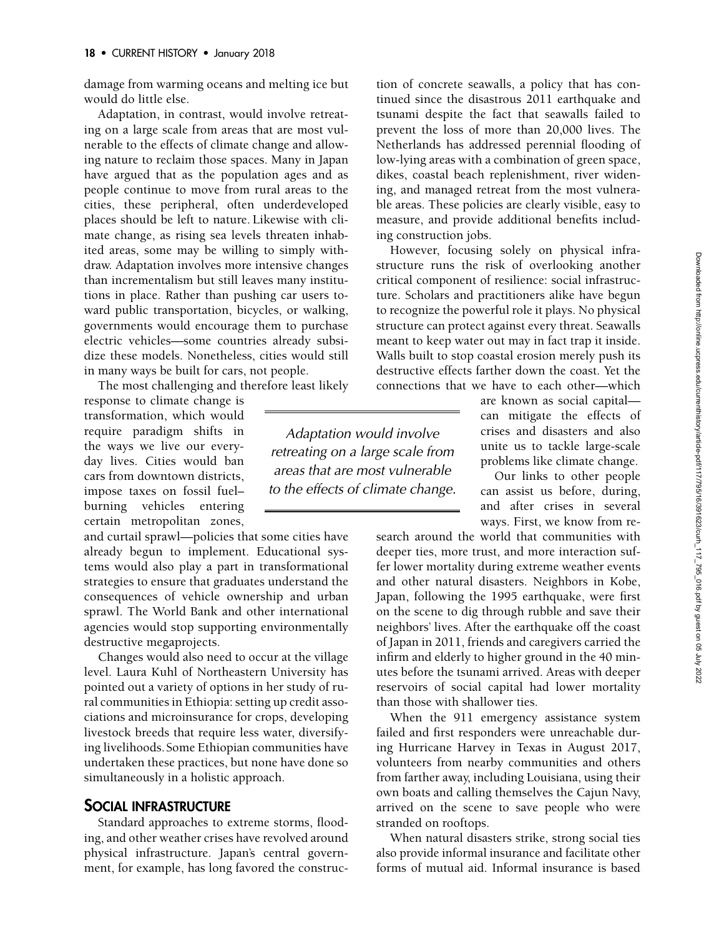damage from warming oceans and melting ice but would do little else.

Adaptation, in contrast, would involve retreating on a large scale from areas that are most vulnerable to the effects of climate change and allowing nature to reclaim those spaces. Many in Japan have argued that as the population ages and as people continue to move from rural areas to the cities, these peripheral, often underdeveloped places should be left to nature. Likewise with climate change, as rising sea levels threaten inhabited areas, some may be willing to simply withdraw. Adaptation involves more intensive changes than incrementalism but still leaves many institutions in place. Rather than pushing car users toward public transportation, bicycles, or walking, governments would encourage them to purchase electric vehicles—some countries already subsidize these models. Nonetheless, cities would still in many ways be built for cars, not people.

The most challenging and therefore least likely

response to climate change is transformation, which would require paradigm shifts in the ways we live our everyday lives. Cities would ban cars from downtown districts, impose taxes on fossil fuel– burning vehicles entering certain metropolitan zones,

and curtail sprawl—policies that some cities have already begun to implement. Educational systems would also play a part in transformational strategies to ensure that graduates understand the consequences of vehicle ownership and urban sprawl. The World Bank and other international agencies would stop supporting environmentally destructive megaprojects.

Changes would also need to occur at the village level. Laura Kuhl of Northeastern University has pointed out a variety of options in her study of rural communities in Ethiopia: setting up credit associations and microinsurance for crops, developing livestock breeds that require less water, diversifying livelihoods.Some Ethiopian communities have undertaken these practices, but none have done so simultaneously in a holistic approach.

## SOCIAL INFRASTRUCTURE

Standard approaches to extreme storms, flooding, and other weather crises have revolved around physical infrastructure. Japan's central government, for example, has long favored the construction of concrete seawalls, a policy that has continued since the disastrous 2011 earthquake and tsunami despite the fact that seawalls failed to prevent the loss of more than 20,000 lives. The Netherlands has addressed perennial flooding of low-lying areas with a combination of green space, dikes, coastal beach replenishment, river widening, and managed retreat from the most vulnerable areas. These policies are clearly visible, easy to measure, and provide additional benefits including construction jobs.

However, focusing solely on physical infrastructure runs the risk of overlooking another critical component of resilience: social infrastructure. Scholars and practitioners alike have begun to recognize the powerful role it plays. No physical structure can protect against every threat. Seawalls meant to keep water out may in fact trap it inside. Walls built to stop coastal erosion merely push its destructive effects farther down the coast. Yet the connections that we have to each other—which

> are known as social capital can mitigate the effects of crises and disasters and also unite us to tackle large-scale problems like climate change.

> Our links to other people can assist us before, during, and after crises in several ways. First, we know from re-

search around the world that communities with deeper ties, more trust, and more interaction suffer lower mortality during extreme weather events and other natural disasters. Neighbors in Kobe, Japan, following the 1995 earthquake, were first on the scene to dig through rubble and save their neighbors' lives. After the earthquake off the coast of Japan in 2011, friends and caregivers carried the infirm and elderly to higher ground in the 40 minutes before the tsunami arrived. Areas with deeper reservoirs of social capital had lower mortality than those with shallower ties.

When the 911 emergency assistance system failed and first responders were unreachable during Hurricane Harvey in Texas in August 2017, volunteers from nearby communities and others from farther away, including Louisiana, using their own boats and calling themselves the Cajun Navy, arrived on the scene to save people who were stranded on rooftops.

When natural disasters strike, strong social ties also provide informal insurance and facilitate other forms of mutual aid. Informal insurance is based

*Adaptation would involve retreating on a large scale from areas that are most vulnerable to the effects of climate change.*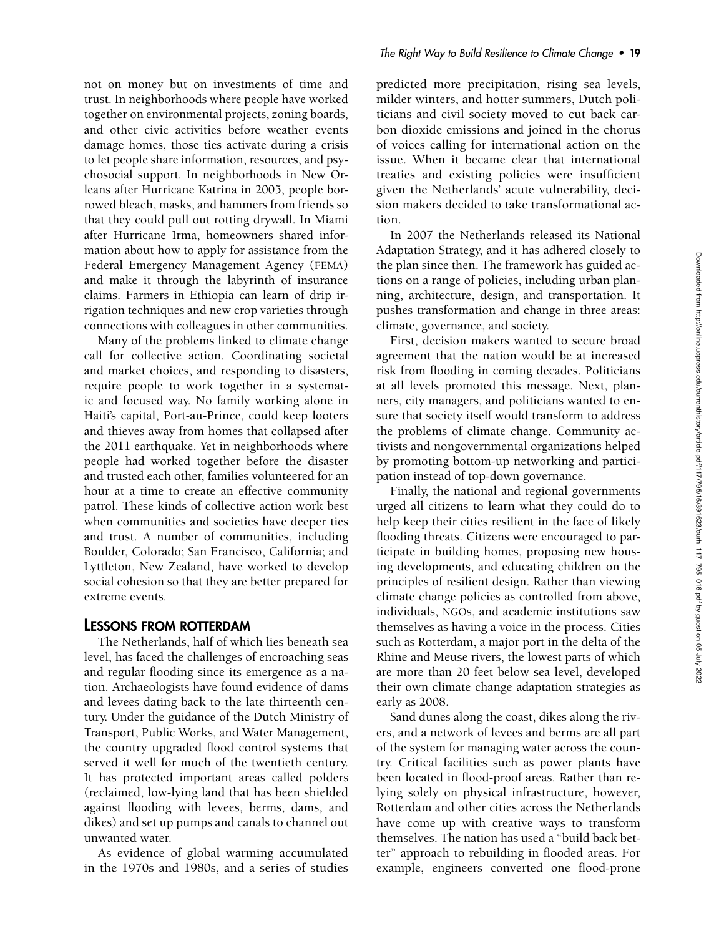not on money but on investments of time and trust. In neighborhoods where people have worked together on environmental projects, zoning boards, and other civic activities before weather events damage homes, those ties activate during a crisis to let people share information, resources, and psychosocial support. In neighborhoods in New Orleans after Hurricane Katrina in 2005, people borrowed bleach, masks, and hammers from friends so that they could pull out rotting drywall. In Miami after Hurricane Irma, homeowners shared information about how to apply for assistance from the Federal Emergency Management Agency (FEMA) and make it through the labyrinth of insurance claims. Farmers in Ethiopia can learn of drip ir-

rigation techniques and new crop varieties through

connections with colleagues in other communities. Many of the problems linked to climate change call for collective action. Coordinating societal and market choices, and responding to disasters, require people to work together in a systematic and focused way. No family working alone in Haiti's capital, Port-au-Prince, could keep looters and thieves away from homes that collapsed after the 2011 earthquake. Yet in neighborhoods where people had worked together before the disaster and trusted each other, families volunteered for an hour at a time to create an effective community patrol. These kinds of collective action work best when communities and societies have deeper ties and trust. A number of communities, including Boulder, Colorado; San Francisco, California; and Lyttleton, New Zealand, have worked to develop social cohesion so that they are better prepared for extreme events.

#### LESSONS FROM ROTTERDAM

The Netherlands, half of which lies beneath sea level, has faced the challenges of encroaching seas and regular flooding since its emergence as a nation. Archaeologists have found evidence of dams and levees dating back to the late thirteenth century. Under the guidance of the Dutch Ministry of Transport, Public Works, and Water Management, the country upgraded flood control systems that served it well for much of the twentieth century. It has protected important areas called polders (reclaimed, low-lying land that has been shielded against flooding with levees, berms, dams, and dikes) and set up pumps and canals to channel out unwanted water.

As evidence of global warming accumulated in the 1970s and 1980s, and a series of studies predicted more precipitation, rising sea levels, milder winters, and hotter summers, Dutch politicians and civil society moved to cut back carbon dioxide emissions and joined in the chorus of voices calling for international action on the issue. When it became clear that international treaties and existing policies were insufficient given the Netherlands' acute vulnerability, decision makers decided to take transformational action.

In 2007 the Netherlands released its National Adaptation Strategy, and it has adhered closely to the plan since then. The framework has guided actions on a range of policies, including urban planning, architecture, design, and transportation. It pushes transformation and change in three areas: climate, governance, and society.

First, decision makers wanted to secure broad agreement that the nation would be at increased risk from flooding in coming decades. Politicians at all levels promoted this message. Next, planners, city managers, and politicians wanted to ensure that society itself would transform to address the problems of climate change. Community activists and nongovernmental organizations helped by promoting bottom-up networking and participation instead of top-down governance.

Finally, the national and regional governments urged all citizens to learn what they could do to help keep their cities resilient in the face of likely flooding threats. Citizens were encouraged to participate in building homes, proposing new housing developments, and educating children on the principles of resilient design. Rather than viewing climate change policies as controlled from above, individuals, NGOs, and academic institutions saw themselves as having a voice in the process. Cities such as Rotterdam, a major port in the delta of the Rhine and Meuse rivers, the lowest parts of which are more than 20 feet below sea level, developed their own climate change adaptation strategies as early as 2008.

Sand dunes along the coast, dikes along the rivers, and a network of levees and berms are all part of the system for managing water across the country. Critical facilities such as power plants have been located in flood-proof areas. Rather than relying solely on physical infrastructure, however, Rotterdam and other cities across the Netherlands have come up with creative ways to transform themselves. The nation has used a "build back better" approach to rebuilding in flooded areas. For example, engineers converted one flood-prone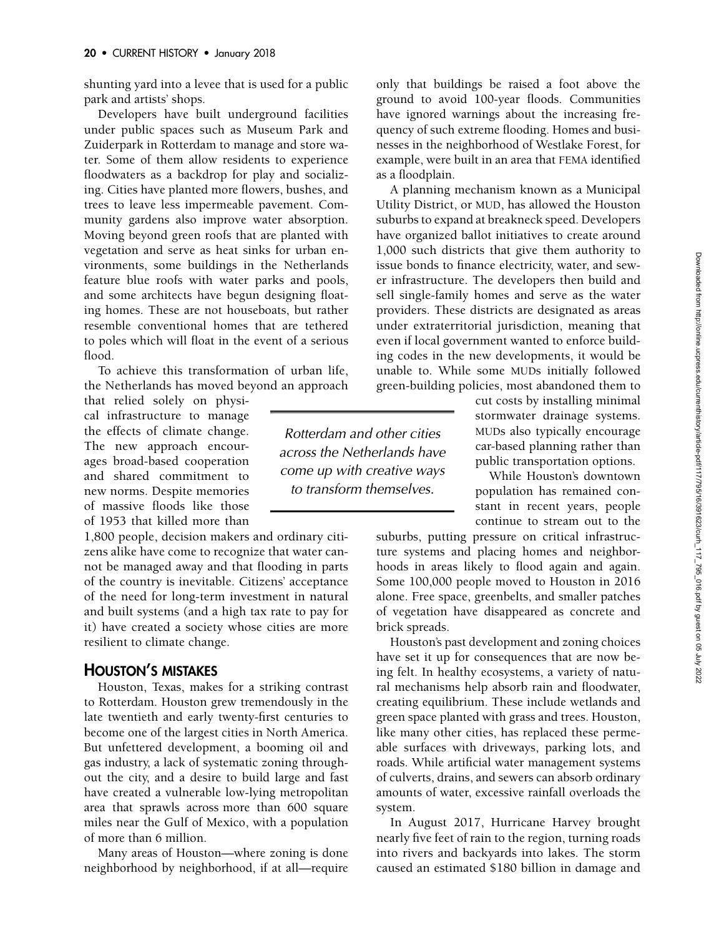shunting yard into a levee that is used for a public park and artists' shops.

Developers have built underground facilities under public spaces such as Museum Park and Zuiderpark in Rotterdam to manage and store water. Some of them allow residents to experience floodwaters as a backdrop for play and socializing. Cities have planted more flowers, bushes, and trees to leave less impermeable pavement. Community gardens also improve water absorption. Moving beyond green roofs that are planted with vegetation and serve as heat sinks for urban environments, some buildings in the Netherlands feature blue roofs with water parks and pools, and some architects have begun designing floating homes. These are not houseboats, but rather resemble conventional homes that are tethered to poles which will float in the event of a serious flood.

To achieve this transformation of urban life, the Netherlands has moved beyond an approach

that relied solely on physical infrastructure to manage the effects of climate change. The new approach encourages broad-based cooperation and shared commitment to new norms. Despite memories of massive floods like those of 1953 that killed more than

1,800 people, decision makers and ordinary citizens alike have come to recognize that water cannot be managed away and that flooding in parts of the country is inevitable. Citizens' acceptance of the need for long-term investment in natural and built systems (and a high tax rate to pay for it) have created a society whose cities are more resilient to climate change.

### HOUSTON'S MISTAKES

Houston, Texas, makes for a striking contrast to Rotterdam. Houston grew tremendously in the late twentieth and early twenty-first centuries to become one of the largest cities in North America. But unfettered development, a booming oil and gas industry, a lack of systematic zoning throughout the city, and a desire to build large and fast have created a vulnerable low-lying metropolitan area that sprawls across more than 600 square miles near the Gulf of Mexico, with a population of more than 6 million.

Many areas of Houston—where zoning is done neighborhood by neighborhood, if at all—require

only that buildings be raised a foot above the ground to avoid 100-year floods. Communities have ignored warnings about the increasing frequency of such extreme flooding. Homes and businesses in the neighborhood of Westlake Forest, for example, were built in an area that FEMA identified as a floodplain.

A planning mechanism known as a Municipal Utility District, or MUD, has allowed the Houston suburbs to expand at breakneck speed. Developers have organized ballot initiatives to create around 1,000 such districts that give them authority to issue bonds to finance electricity, water, and sewer infrastructure. The developers then build and sell single-family homes and serve as the water providers. These districts are designated as areas under extraterritorial jurisdiction, meaning that even if local government wanted to enforce building codes in the new developments, it would be unable to. While some MUDs initially followed green-building policies, most abandoned them to

> cut costs by installing minimal stormwater drainage systems. MUDs also typically encourage car-based planning rather than public transportation options.

> While Houston's downtown population has remained constant in recent years, people continue to stream out to the

suburbs, putting pressure on critical infrastructure systems and placing homes and neighborhoods in areas likely to flood again and again. Some 100,000 people moved to Houston in 2016 alone. Free space, greenbelts, and smaller patches of vegetation have disappeared as concrete and brick spreads.

Houston's past development and zoning choices have set it up for consequences that are now being felt. In healthy ecosystems, a variety of natural mechanisms help absorb rain and floodwater, creating equilibrium. These include wetlands and green space planted with grass and trees. Houston, like many other cities, has replaced these permeable surfaces with driveways, parking lots, and roads. While artificial water management systems of culverts, drains, and sewers can absorb ordinary amounts of water, excessive rainfall overloads the system.

In August 2017, Hurricane Harvey brought nearly five feet of rain to the region, turning roads into rivers and backyards into lakes. The storm caused an estimated \$180 billion in damage and

*Rotterdam and other cities across the Netherlands have come up with creative ways to transform themselves.*